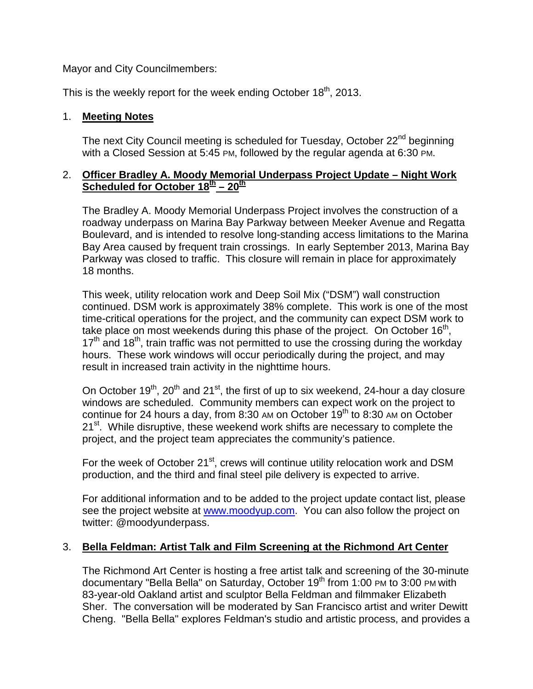Mayor and City Councilmembers:

This is the weekly report for the week ending October 18<sup>th</sup>, 2013.

#### 1. **Meeting Notes**

The next City Council meeting is scheduled for Tuesday, October 22<sup>nd</sup> beginning with a Closed Session at 5:45 PM, followed by the regular agenda at 6:30 PM.

#### 2. **Officer Bradley A. Moody Memorial Underpass Project Update – Night Work Scheduled for October 18<sup>th</sup> – 20<sup>th</sup>**

The Bradley A. Moody Memorial Underpass Project involves the construction of a roadway underpass on Marina Bay Parkway between Meeker Avenue and Regatta Boulevard, and is intended to resolve long-standing access limitations to the Marina Bay Area caused by frequent train crossings. In early September 2013, Marina Bay Parkway was closed to traffic. This closure will remain in place for approximately 18 months.

This week, utility relocation work and Deep Soil Mix ("DSM") wall construction continued. DSM work is approximately 38% complete. This work is one of the most time-critical operations for the project, and the community can expect DSM work to take place on most weekends during this phase of the project. On October 16<sup>th</sup>,  $17<sup>th</sup>$  and  $18<sup>th</sup>$ , train traffic was not permitted to use the crossing during the workday hours. These work windows will occur periodically during the project, and may result in increased train activity in the nighttime hours.

On October  $19<sup>th</sup>$ ,  $20<sup>th</sup>$  and  $21<sup>st</sup>$ , the first of up to six weekend, 24-hour a day closure windows are scheduled. Community members can expect work on the project to continue for 24 hours a day, from 8:30 AM on October  $19<sup>th</sup>$  to 8:30 AM on October 21<sup>st</sup>. While disruptive, these weekend work shifts are necessary to complete the project, and the project team appreciates the community's patience.

For the week of October  $21^{st}$ , crews will continue utility relocation work and DSM production, and the third and final steel pile delivery is expected to arrive.

For additional information and to be added to the project update contact list, please see the project website at [www.moodyup.com.](http://www.moodyup.com/) You can also follow the project on twitter: @moodyunderpass.

## 3. **Bella Feldman: Artist Talk and Film Screening at the Richmond Art Center**

The Richmond Art Center is hosting a free artist talk and screening of the 30-minute documentary "Bella Bella" on Saturday, October  $19<sup>th</sup>$  from 1:00 PM to 3:00 PM with 83-year-old Oakland artist and sculptor Bella Feldman and filmmaker Elizabeth Sher. The conversation will be moderated by San Francisco artist and writer Dewitt Cheng. "Bella Bella" explores Feldman's studio and artistic process, and provides a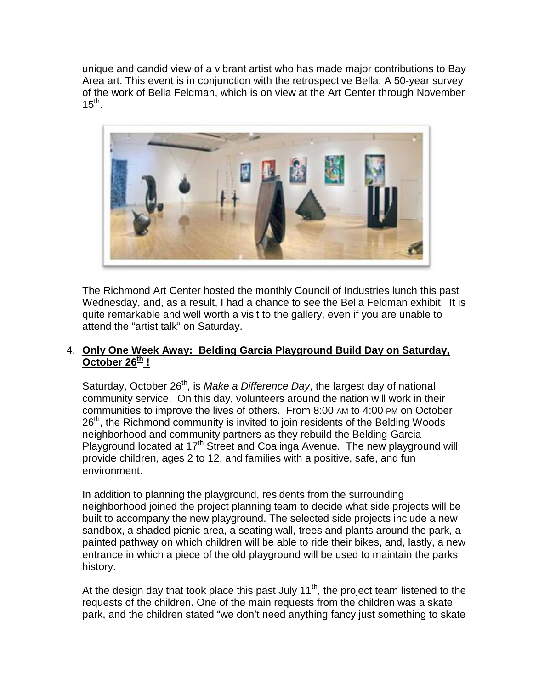unique and candid view of a vibrant artist who has made major contributions to Bay Area art. This event is in conjunction with the retrospective Bella: A 50-year survey of the work of Bella Feldman, which is on view at the Art Center through November  $15^{\text{th}}$ .



The Richmond Art Center hosted the monthly Council of Industries lunch this past Wednesday, and, as a result, I had a chance to see the Bella Feldman exhibit. It is quite remarkable and well worth a visit to the gallery, even if you are unable to attend the "artist talk" on Saturday.

#### 4. **Only One Week Away: Belding Garcia Playground Build Day on Saturday,**  October  $26<sup>th</sup>$  !

Saturday, October 26<sup>th</sup>, is *Make a Difference Day*, the largest day of national community service. On this day, volunteers around the nation will work in their communities to improve the lives of others. From 8:00 AM to 4:00 PM on October  $26<sup>th</sup>$ , the Richmond community is invited to join residents of the Belding Woods neighborhood and community partners as they rebuild the Belding-Garcia Playground located at 17<sup>th</sup> Street and Coalinga Avenue. The new playground will provide children, ages 2 to 12, and families with a positive, safe, and fun environment.

In addition to planning the playground, residents from the surrounding neighborhood joined the project planning team to decide what side projects will be built to accompany the new playground. The selected side projects include a new sandbox, a shaded picnic area, a seating wall, trees and plants around the park, a painted pathway on which children will be able to ride their bikes, and, lastly, a new entrance in which a piece of the old playground will be used to maintain the parks history.

At the design day that took place this past July  $11^{th}$ , the project team listened to the requests of the children. One of the main requests from the children was a skate park, and the children stated "we don't need anything fancy just something to skate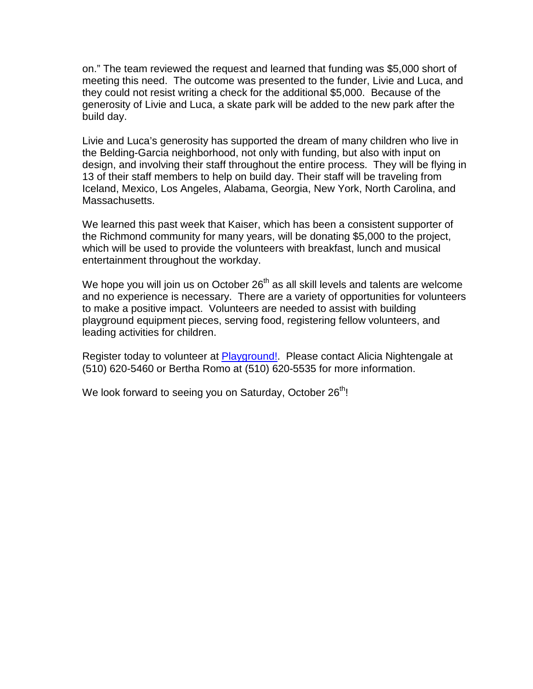on." The team reviewed the request and learned that funding was \$5,000 short of meeting this need. The outcome was presented to the funder, Livie and Luca, and they could not resist writing a check for the additional \$5,000. Because of the generosity of Livie and Luca, a skate park will be added to the new park after the build day.

Livie and Luca's generosity has supported the dream of many children who live in the Belding-Garcia neighborhood, not only with funding, but also with input on design, and involving their staff throughout the entire process. They will be flying in 13 of their staff members to help on build day. Their staff will be traveling from Iceland, Mexico, Los Angeles, Alabama, Georgia, New York, North Carolina, and Massachusetts.

We learned this past week that Kaiser, which has been a consistent supporter of the Richmond community for many years, will be donating \$5,000 to the project, which will be used to provide the volunteers with breakfast, lunch and musical entertainment throughout the workday.

We hope you will join us on October  $26<sup>th</sup>$  as all skill levels and talents are welcome and no experience is necessary. There are a variety of opportunities for volunteers to make a positive impact. Volunteers are needed to assist with building playground equipment pieces, serving food, registering fellow volunteers, and leading activities for children.

Register today to volunteer at [Playground!.](http://beldinggarciaplayground.eventbrite.com/) Please contact Alicia Nightengale at (510) 620-5460 or Bertha Romo at (510) 620-5535 for more information.

We look forward to seeing you on Saturday, October 26<sup>th</sup>!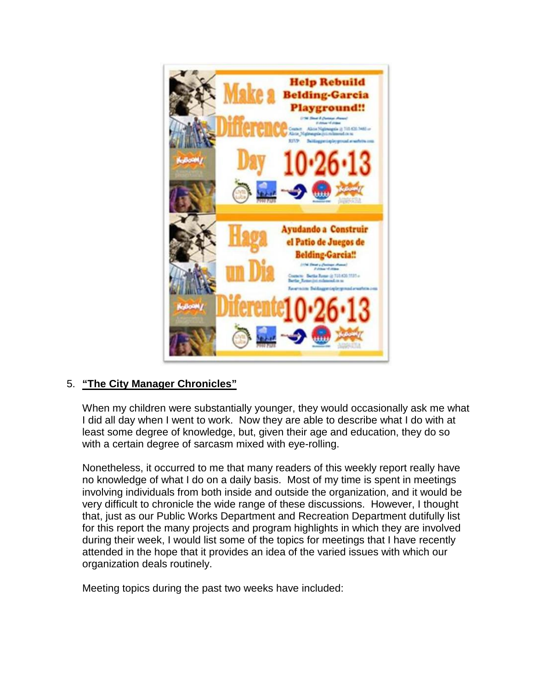

## 5. **"The City Manager Chronicles"**

When my children were substantially younger, they would occasionally ask me what I did all day when I went to work. Now they are able to describe what I do with at least some degree of knowledge, but, given their age and education, they do so with a certain degree of sarcasm mixed with eye-rolling.

Nonetheless, it occurred to me that many readers of this weekly report really have no knowledge of what I do on a daily basis. Most of my time is spent in meetings involving individuals from both inside and outside the organization, and it would be very difficult to chronicle the wide range of these discussions. However, I thought that, just as our Public Works Department and Recreation Department dutifully list for this report the many projects and program highlights in which they are involved during their week, I would list some of the topics for meetings that I have recently attended in the hope that it provides an idea of the varied issues with which our organization deals routinely.

Meeting topics during the past two weeks have included: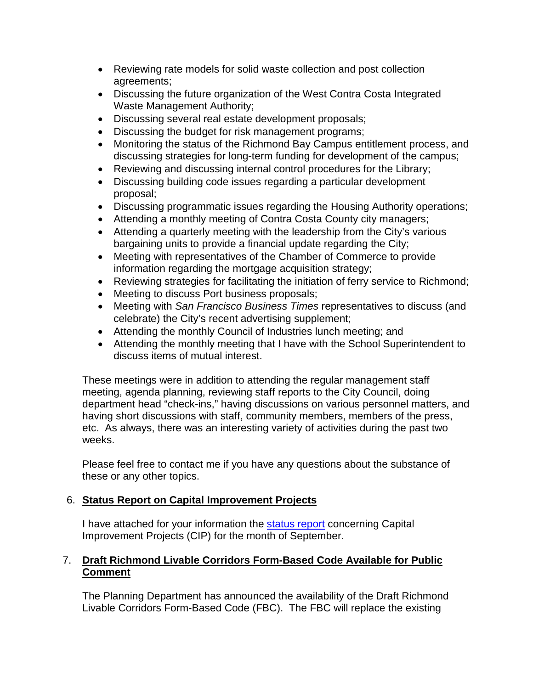- Reviewing rate models for solid waste collection and post collection agreements;
- Discussing the future organization of the West Contra Costa Integrated Waste Management Authority;
- Discussing several real estate development proposals;
- Discussing the budget for risk management programs;
- Monitoring the status of the Richmond Bay Campus entitlement process, and discussing strategies for long-term funding for development of the campus;
- Reviewing and discussing internal control procedures for the Library;
- Discussing building code issues regarding a particular development proposal;
- Discussing programmatic issues regarding the Housing Authority operations;
- Attending a monthly meeting of Contra Costa County city managers;
- Attending a quarterly meeting with the leadership from the City's various bargaining units to provide a financial update regarding the City;
- Meeting with representatives of the Chamber of Commerce to provide information regarding the mortgage acquisition strategy;
- Reviewing strategies for facilitating the initiation of ferry service to Richmond;
- Meeting to discuss Port business proposals;
- Meeting with *San Francisco Business Times* representatives to discuss (and celebrate) the City's recent advertising supplement;
- Attending the monthly Council of Industries lunch meeting; and
- Attending the monthly meeting that I have with the School Superintendent to discuss items of mutual interest.

These meetings were in addition to attending the regular management staff meeting, agenda planning, reviewing staff reports to the City Council, doing department head "check-ins," having discussions on various personnel matters, and having short discussions with staff, community members, members of the press, etc. As always, there was an interesting variety of activities during the past two weeks.

Please feel free to contact me if you have any questions about the substance of these or any other topics.

# 6. **Status Report on Capital Improvement Projects**

I have attached for your information the [status](http://www.ci.richmond.ca.us/DocumentCenter/View/27758) report concerning Capital Improvement Projects (CIP) for the month of September.

## 7. **Draft Richmond Livable Corridors Form-Based Code Available for Public Comment**

The Planning Department has announced the availability of the Draft Richmond Livable Corridors Form-Based Code (FBC). The FBC will replace the existing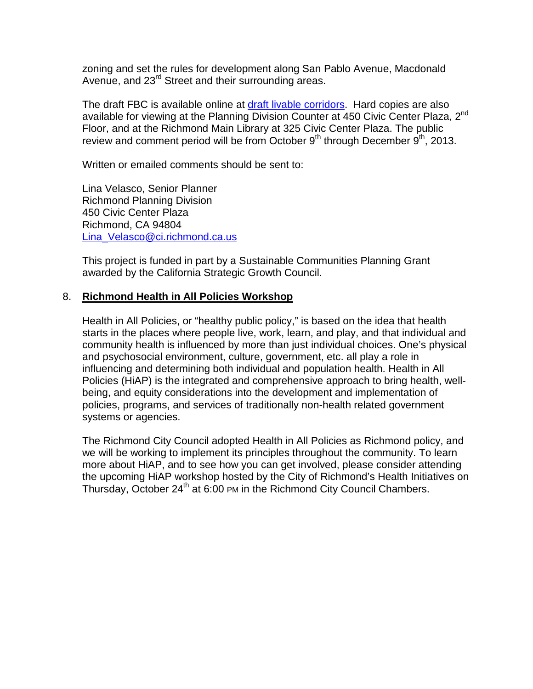zoning and set the rules for development along San Pablo Avenue, Macdonald Avenue, and 23<sup>rd</sup> Street and their surrounding areas.

The draft FBC is available online at [draft livable corridors.](http://www.ci.richmond.ca.us/DocumentCenter/View/27685) Hard copies are also available for viewing at the Planning Division Counter at 450 Civic Center Plaza, 2<sup>nd</sup> Floor, and at the Richmond Main Library at 325 Civic Center Plaza. The public review and comment period will be from October  $9<sup>th</sup>$  through December  $9<sup>th</sup>$ , 2013.

Written or emailed comments should be sent to:

Lina Velasco, Senior Planner Richmond Planning Division 450 Civic Center Plaza Richmond, CA 94804 [Lina\\_Velasco@ci.richmond.ca.us](mailto:Lina_Velasco@ci.richmond.ca.us)

This project is funded in part by a Sustainable Communities Planning Grant awarded by the California Strategic Growth Council.

#### 8. **Richmond Health in All Policies Workshop**

Health in All Policies, or "healthy public policy," is based on the idea that health starts in the places where people live, work, learn, and play, and that individual and community health is influenced by more than just individual choices. One's physical and psychosocial environment, culture, government, etc. all play a role in influencing and determining both individual and population health. Health in All Policies (HiAP) is the integrated and comprehensive approach to bring health, wellbeing, and equity considerations into the development and implementation of policies, programs, and services of traditionally non-health related government systems or agencies.

The Richmond City Council adopted Health in All Policies as Richmond policy, and we will be working to implement its principles throughout the community. To learn more about HiAP, and to see how you can get involved, please consider attending the upcoming HiAP workshop hosted by the City of Richmond's Health Initiatives on Thursday, October 24<sup>th</sup> at 6:00 PM in the Richmond City Council Chambers.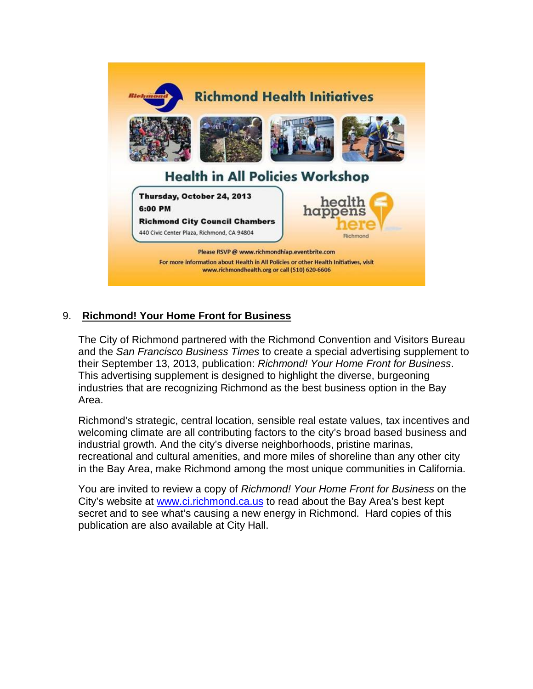![](_page_6_Picture_0.jpeg)

# 9. **Richmond! Your Home Front for Business**

The City of Richmond partnered with the Richmond Convention and Visitors Bureau and the *San Francisco Business Times* to create a special advertising supplement to their September 13, 2013, publication: *Richmond! Your Home Front for Business*. This advertising supplement is designed to highlight the diverse, burgeoning industries that are recognizing Richmond as the best business option in the Bay Area.

Richmond's strategic, central location, sensible real estate values, tax incentives and welcoming climate are all contributing factors to the city's broad based business and industrial growth. And the city's diverse neighborhoods, pristine marinas, recreational and cultural amenities, and more miles of shoreline than any other city in the Bay Area, make Richmond among the most unique communities in California.

You are invited to review a copy of *Richmond! Your Home Front for Business* on the City's website at [www.ci.richmond.ca.us](http://www.ci.richmond.ca.us/) to read about the Bay Area's best kept secret and to see what's causing a new energy in Richmond. Hard copies of this publication are also available at City Hall.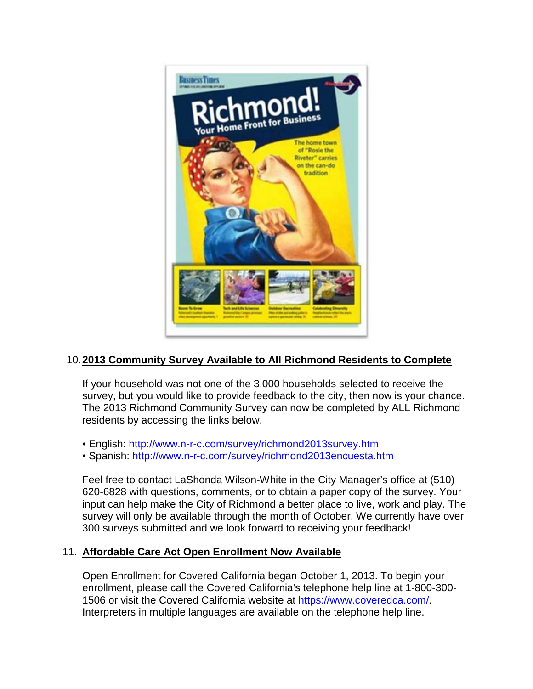![](_page_7_Picture_0.jpeg)

## 10.**2013 Community Survey Available to All Richmond Residents to Complete**

If your household was not one of the 3,000 households selected to receive the survey, but you would like to provide feedback to the city, then now is your chance. The 2013 Richmond Community Survey can now be completed by ALL Richmond residents by accessing the links below.

- English:<http://www.n-r-c.com/survey/richmond2013survey.htm>
- Spanish:<http://www.n-r-c.com/survey/richmond2013encuesta.htm>

Feel free to contact LaShonda Wilson-White in the City Manager's office at (510) 620-6828 with questions, comments, or to obtain a paper copy of the survey. Your input can help make the City of Richmond a better place to live, work and play. The survey will only be available through the month of October. We currently have over 300 surveys submitted and we look forward to receiving your feedback!

## 11. **Affordable Care Act Open Enrollment Now Available**

Open Enrollment for Covered California began October 1, 2013. To begin your enrollment, please call the Covered California's telephone help line at 1-800-300- 1506 or visit the Covered California website at [https://www.coveredca.com/.](https://www.coveredca.com/) Interpreters in multiple languages are available on the telephone help line.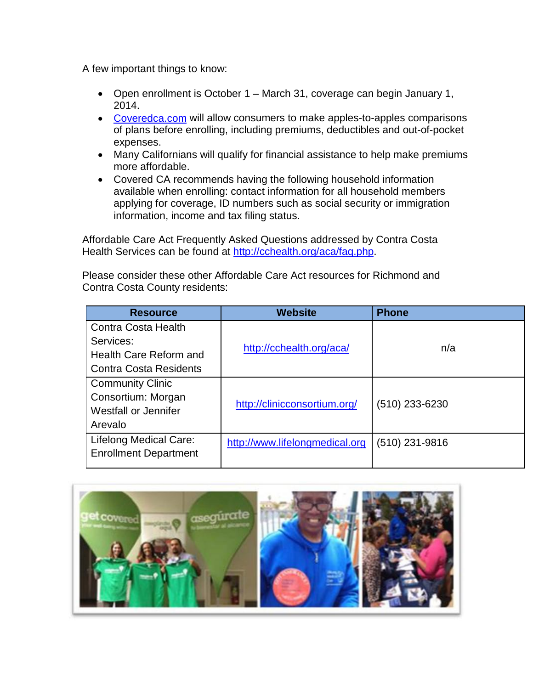A few important things to know:

- Open enrollment is October 1 March 31, coverage can begin January 1, 2014.
- [Coveredca.com](https://www.coveredca.com/) will allow consumers to make apples-to-apples comparisons of plans before enrolling, including premiums, deductibles and out-of-pocket expenses.
- Many Californians will qualify for financial assistance to help make premiums more affordable.
- Covered CA recommends having the following household information available when enrolling: contact information for all household members applying for coverage, ID numbers such as social security or immigration information, income and tax filing status.

Affordable Care Act Frequently Asked Questions addressed by Contra Costa Health Services can be found at [http://cchealth.org/aca/faq.php.](http://cchealth.org/aca/faq.php)

Please consider these other Affordable Care Act resources for Richmond and Contra Costa County residents:

| <b>Resource</b>               | <b>Website</b>                 | <b>Phone</b>     |
|-------------------------------|--------------------------------|------------------|
| Contra Costa Health           |                                |                  |
| Services:                     | http://cchealth.org/aca/       | n/a              |
| Health Care Reform and        |                                |                  |
| <b>Contra Costa Residents</b> |                                |                  |
| <b>Community Clinic</b>       |                                |                  |
| Consortium: Morgan            | http://clinicconsortium.org/   | $(510)$ 233-6230 |
| Westfall or Jennifer          |                                |                  |
| Arevalo                       |                                |                  |
| Lifelong Medical Care:        | http://www.lifelongmedical.org | $(510)$ 231-9816 |
| <b>Enrollment Department</b>  |                                |                  |
|                               |                                |                  |

![](_page_8_Picture_8.jpeg)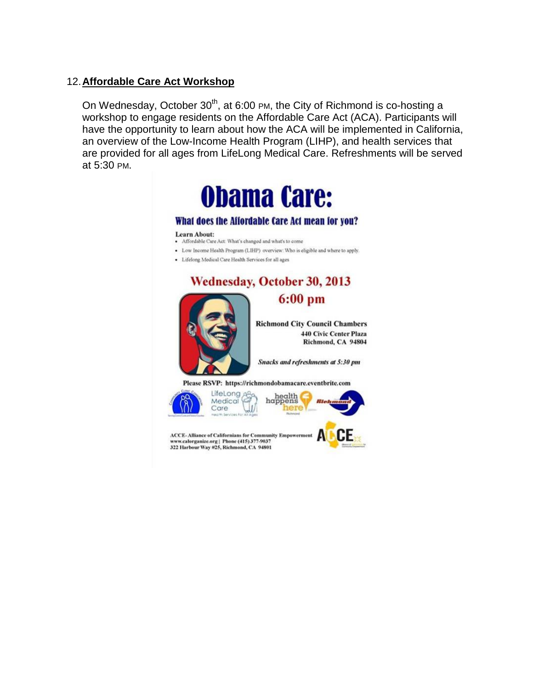#### 12.**Affordable Care Act Workshop**

On Wednesday, October  $30<sup>th</sup>$ , at 6:00 PM, the City of Richmond is co-hosting a workshop to engage residents on the Affordable Care Act (ACA). Participants will have the opportunity to learn about how the ACA will be implemented in California, an overview of the Low-Income Health Program (LIHP), and health services that are provided for all ages from LifeLong Medical Care. Refreshments will be served at 5:30 PM.

![](_page_9_Picture_2.jpeg)

#### What does the Affordable Care Act mean for you?

Learn About:

- · Affordable Care Act: What's changed and what's to come
- · Low Income Health Program (LIHP) overview: Who is eligible and where to apply.
- · Lifelong Medical Care Health Services for all ages

![](_page_9_Picture_8.jpeg)

ЛI

![](_page_9_Picture_9.jpeg)

![](_page_9_Picture_10.jpeg)

ACCE-Alliance of Californians for Community Empowerment<br>www.calorganize.org | Phone (415) 377-9037 322 Harbour Way #25, Richmond, CA 94801

![](_page_9_Picture_12.jpeg)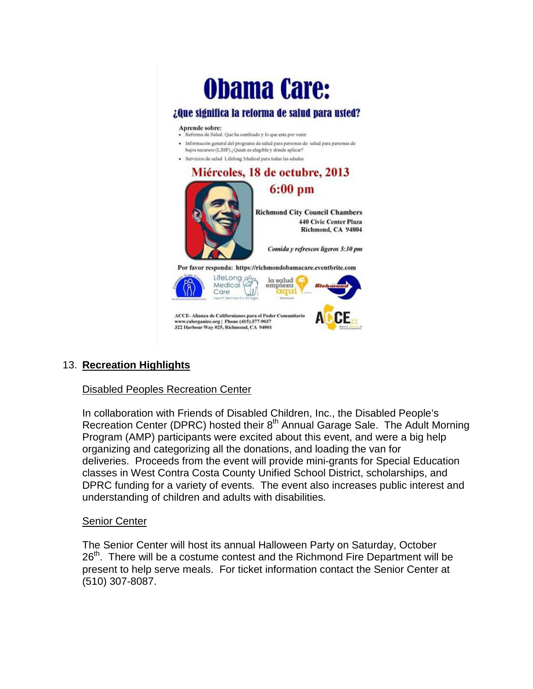# **Obama Care:**

#### ¿Que significa la reforma de salud para usted?

#### Aprende sobre:

- · Reforma de Salud: Que ha cambiado y lo que esta por venir
- · Información general del programa de salud para personas de salud para personas de bajos recursos (LIHP) ¿Quien es elegible y donde aplicar?
- · Servicios de salud Lifelong Medical para todas las edades

![](_page_10_Picture_6.jpeg)

## 13. **Recreation Highlights**

#### Disabled Peoples Recreation Center

In collaboration with Friends of Disabled Children, Inc., the Disabled People's Recreation Center (DPRC) hosted their 8<sup>th</sup> Annual Garage Sale. The Adult Morning Program (AMP) participants were excited about this event, and were a big help organizing and categorizing all the donations, and loading the van for deliveries. Proceeds from the event will provide mini-grants for Special Education classes in West Contra Costa County Unified School District, scholarships, and DPRC funding for a variety of events. The event also increases public interest and understanding of children and adults with disabilities.

#### Senior Center

The Senior Center will host its annual Halloween Party on Saturday, October  $26<sup>th</sup>$ . There will be a costume contest and the Richmond Fire Department will be present to help serve meals. For ticket information contact the Senior Center at (510) 307-8087.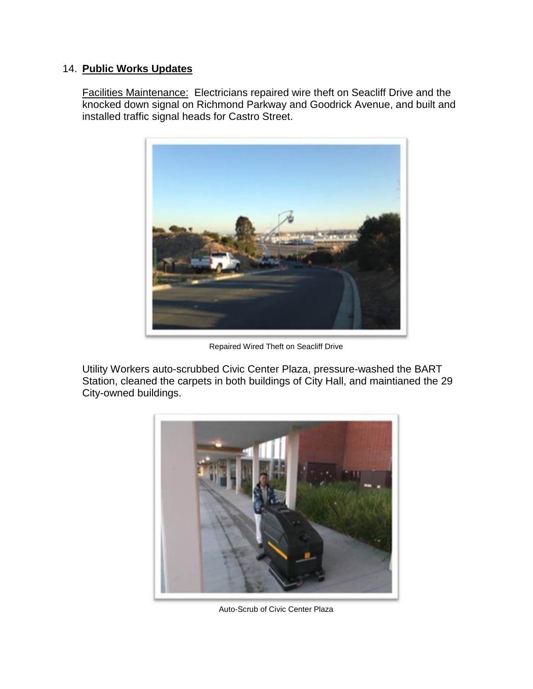## 14. **Public Works Updates**

Facilities Maintenance: Electricians repaired wire theft on Seacliff Drive and the knocked down signal on Richmond Parkway and Goodrick Avenue, and built and installed traffic signal heads for Castro Street.

![](_page_11_Picture_2.jpeg)

Repaired Wired Theft on Seacliff Drive

Utility Workers auto-scrubbed Civic Center Plaza, pressure-washed the BART Station, cleaned the carpets in both buildings of City Hall, and maintianed the 29 City-owned buildings.

![](_page_11_Picture_5.jpeg)

Auto-Scrub of Civic Center Plaza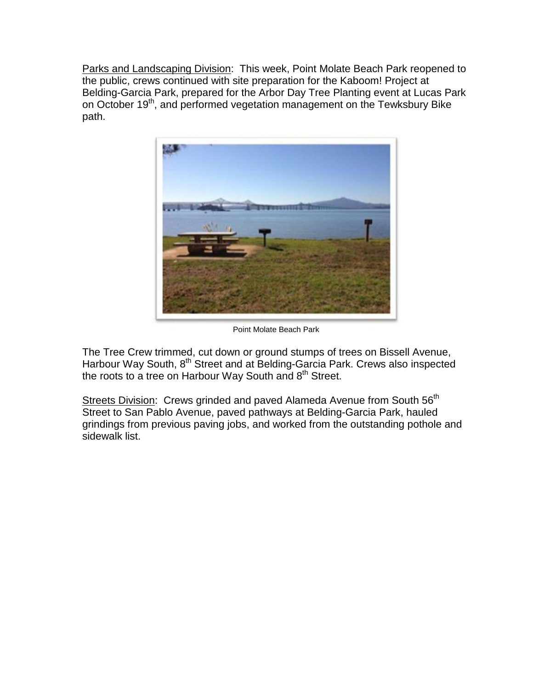Parks and Landscaping Division: This week, Point Molate Beach Park reopened to the public, crews continued with site preparation for the Kaboom! Project at Belding-Garcia Park, prepared for the Arbor Day Tree Planting event at Lucas Park on October 19<sup>th</sup>, and performed vegetation management on the Tewksbury Bike path.

![](_page_12_Picture_1.jpeg)

Point Molate Beach Park

The Tree Crew trimmed, cut down or ground stumps of trees on Bissell Avenue, Harbour Way South, 8th Street and at Belding-Garcia Park. Crews also inspected the roots to a tree on Harbour Way South and  $8<sup>th</sup>$  Street.

Streets Division: Crews grinded and paved Alameda Avenue from South 56<sup>th</sup> Street to San Pablo Avenue, paved pathways at Belding-Garcia Park, hauled grindings from previous paving jobs, and worked from the outstanding pothole and sidewalk list.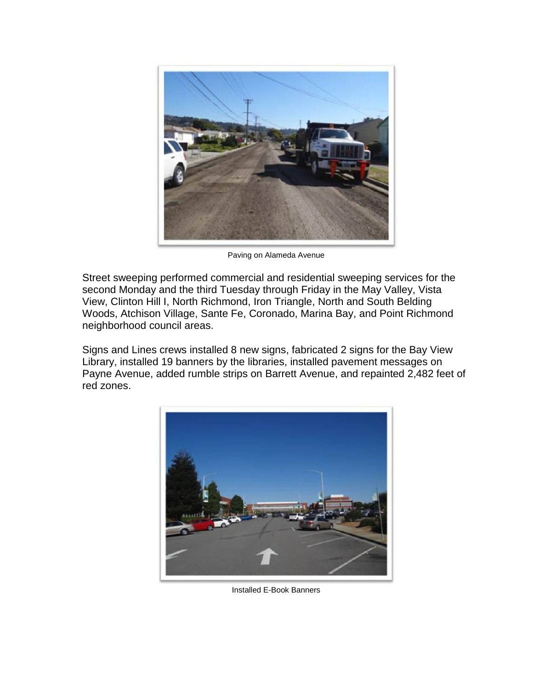![](_page_13_Picture_0.jpeg)

Paving on Alameda Avenue

Street sweeping performed commercial and residential sweeping services for the second Monday and the third Tuesday through Friday in the May Valley, Vista View, Clinton Hill I, North Richmond, Iron Triangle, North and South Belding Woods, Atchison Village, Sante Fe, Coronado, Marina Bay, and Point Richmond neighborhood council areas.

Signs and Lines crews installed 8 new signs, fabricated 2 signs for the Bay View Library, installed 19 banners by the libraries, installed pavement messages on Payne Avenue, added rumble strips on Barrett Avenue, and repainted 2,482 feet of red zones.

![](_page_13_Picture_4.jpeg)

Installed E-Book Banners